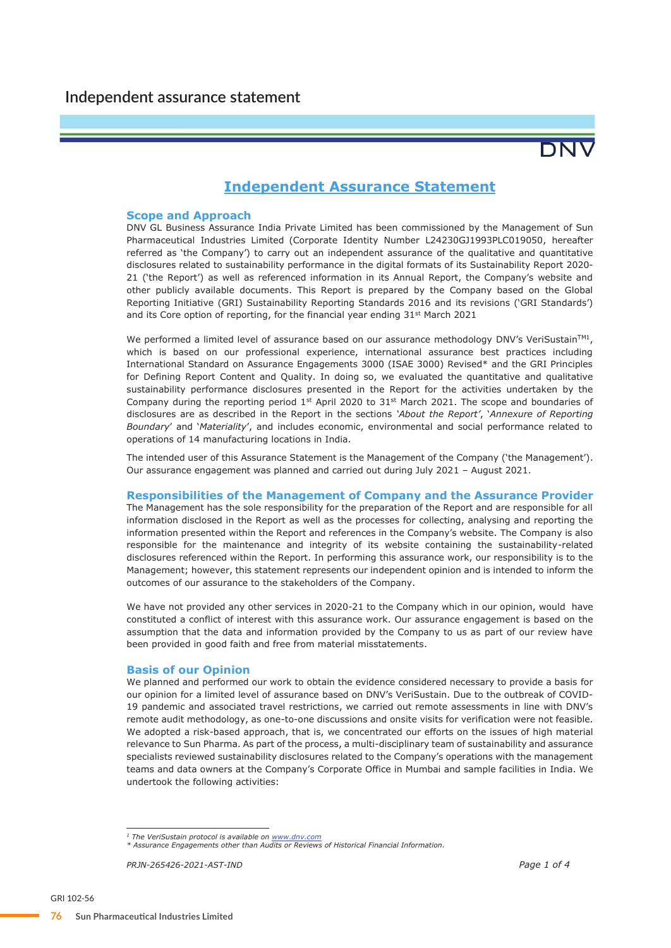

# **Independent Assurance Statement**

# **Scope and Approach**

DNV GL Business Assurance India Private Limited has been commissioned by the Management of Sun Pharmaceutical Industries Limited (Corporate Identity Number L24230GJ1993PLC019050, hereafter referred as 'the Company') to carry out an independent assurance of the qualitative and quantitative disclosures related to sustainability performance in the digital formats of its Sustainability Report 2020- 21 ('the Report') as well as referenced information in its Annual Report, the Company's website and other publicly available documents. This Report is prepared by the Company based on the Global Reporting Initiative (GRI) Sustainability Reporting Standards 2016 and its revisions ('GRI Standards') and its Core option of reporting, for the financial year ending 31<sup>st</sup> March 2021

We performed a limited level of assurance based on our assurance methodology DNV's VeriSustain<sup>TM1</sup>, which is based on our professional experience, international assurance best practices including International Standard on Assurance Engagements 3000 (ISAE 3000) Revised\* and the GRI Principles for Defining Report Content and Quality. In doing so, we evaluated the quantitative and qualitative sustainability performance disclosures presented in the Report for the activities undertaken by the Company during the reporting period  $1<sup>st</sup>$  April 2020 to  $31<sup>st</sup>$  March 2021. The scope and boundaries of disclosures are as described in the Report in the sections *'About the Report'*, '*Annexure of Reporting Boundary*' and '*Materiality*', and includes economic, environmental and social performance related to operations of 14 manufacturing locations in India.

The intended user of this Assurance Statement is the Management of the Company ('the Management'). Our assurance engagement was planned and carried out during July 2021 – August 2021.

## **Responsibilities of the Management of Company and the Assurance Provider**

The Management has the sole responsibility for the preparation of the Report and are responsible for all information disclosed in the Report as well as the processes for collecting, analysing and reporting the information presented within the Report and references in the Company's website. The Company is also responsible for the maintenance and integrity of its website containing the sustainability-related disclosures referenced within the Report. In performing this assurance work, our responsibility is to the Management; however, this statement represents our independent opinion and is intended to inform the outcomes of our assurance to the stakeholders of the Company.

We have not provided any other services in 2020-21 to the Company which in our opinion, would have constituted a conflict of interest with this assurance work. Our assurance engagement is based on the assumption that the data and information provided by the Company to us as part of our review have been provided in good faith and free from material misstatements.

# **Basis of our Opinion**

We planned and performed our work to obtain the evidence considered necessary to provide a basis for our opinion for a limited level of assurance based on DNV's VeriSustain. Due to the outbreak of COVID-19 pandemic and associated travel restrictions, we carried out remote assessments in line with DNV's remote audit methodology, as one-to-one discussions and onsite visits for verification were not feasible. We adopted a risk-based approach, that is, we concentrated our efforts on the issues of high material relevance to Sun Pharma. As part of the process, a multi-disciplinary team of sustainability and assurance specialists reviewed sustainability disclosures related to the Company's operations with the management teams and data owners at the Company's Corporate Office in Mumbai and sample facilities in India. We undertook the following activities:

*PRJN-265426-2021-AST-IND Page 1 of 4*

*<sup>1</sup> The VeriSustain protocol is available on www.dnv.com*

*<sup>\*</sup> Assurance Engagements other than Audits or Reviews of Historical Financial Information.*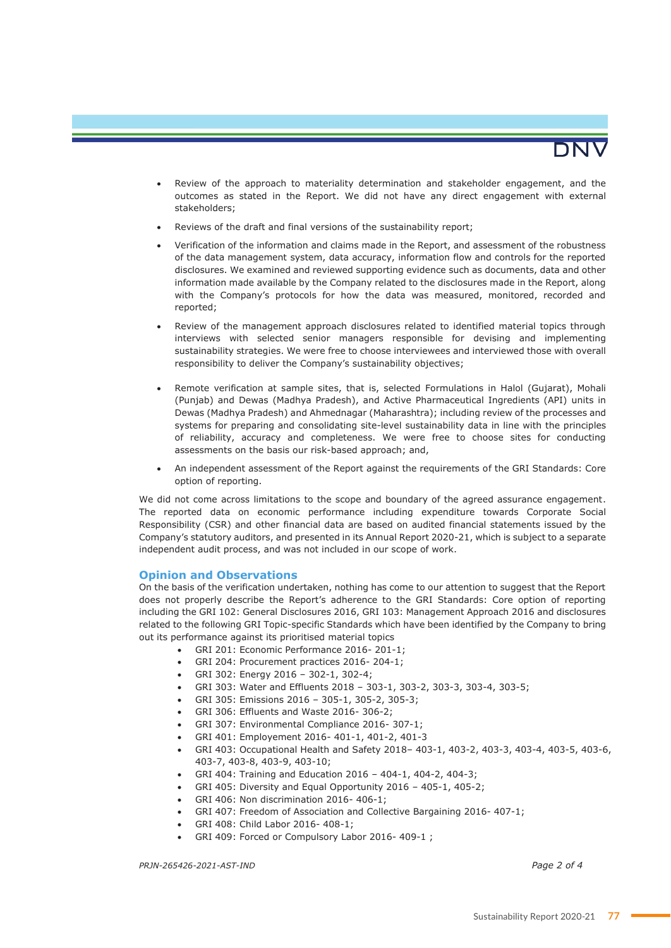

- Review of the approach to materiality determination and stakeholder engagement, and the outcomes as stated in the Report. We did not have any direct engagement with external stakeholders;
- Reviews of the draft and final versions of the sustainability report;
- Verification of the information and claims made in the Report, and assessment of the robustness of the data management system, data accuracy, information flow and controls for the reported disclosures. We examined and reviewed supporting evidence such as documents, data and other information made available by the Company related to the disclosures made in the Report, along with the Company's protocols for how the data was measured, monitored, recorded and reported;
- Review of the management approach disclosures related to identified material topics through interviews with selected senior managers responsible for devising and implementing sustainability strategies. We were free to choose interviewees and interviewed those with overall responsibility to deliver the Company's sustainability objectives;
- Remote verification at sample sites, that is, selected Formulations in Halol (Gujarat), Mohali (Punjab) and Dewas (Madhya Pradesh), and Active Pharmaceutical Ingredients (API) units in Dewas (Madhya Pradesh) and Ahmednagar (Maharashtra); including review of the processes and systems for preparing and consolidating site-level sustainability data in line with the principles of reliability, accuracy and completeness. We were free to choose sites for conducting assessments on the basis our risk-based approach; and,
- An independent assessment of the Report against the requirements of the GRI Standards: Core option of reporting.

We did not come across limitations to the scope and boundary of the agreed assurance engagement. The reported data on economic performance including expenditure towards Corporate Social Responsibility (CSR) and other financial data are based on audited financial statements issued by the Company's statutory auditors, and presented in its Annual Report 2020-21, which is subject to a separate independent audit process, and was not included in our scope of work.

# **Opinion and Observations**

On the basis of the verification undertaken, nothing has come to our attention to suggest that the Report does not properly describe the Report's adherence to the GRI Standards: Core option of reporting including the GRI 102: General Disclosures 2016, GRI 103: Management Approach 2016 and disclosures related to the following GRI Topic-specific Standards which have been identified by the Company to bring out its performance against its prioritised material topics

- GRI 201: Economic Performance 2016- 201-1;
	- GRI 204: Procurement practices 2016- 204-1;
	- GRI 302: Energy 2016 302-1, 302-4;
- GRI 303: Water and Effluents 2018 303-1, 303-2, 303-3, 303-4, 303-5;
- GRI 305: Emissions 2016 305-1, 305-2, 305-3;
- GRI 306: Effluents and Waste 2016- 306-2;
- GRI 307: Environmental Compliance 2016- 307-1;
- GRI 401: Employement 2016- 401-1, 401-2, 401-3
- GRI 403: Occupational Health and Safety 2018– 403-1, 403-2, 403-3, 403-4, 403-5, 403-6, 403-7, 403-8, 403-9, 403-10;
- GRI 404: Training and Education 2016 404-1, 404-2, 404-3;
- GRI 405: Diversity and Equal Opportunity 2016 405-1, 405-2;
- GRI 406: Non discrimination 2016- 406-1;
- GRI 407: Freedom of Association and Collective Bargaining 2016- 407-1;
- GRI 408: Child Labor 2016- 408-1;
- GRI 409: Forced or Compulsory Labor 2016- 409-1;

*PRJN-265426-2021-AST-IND Page 2 of 4*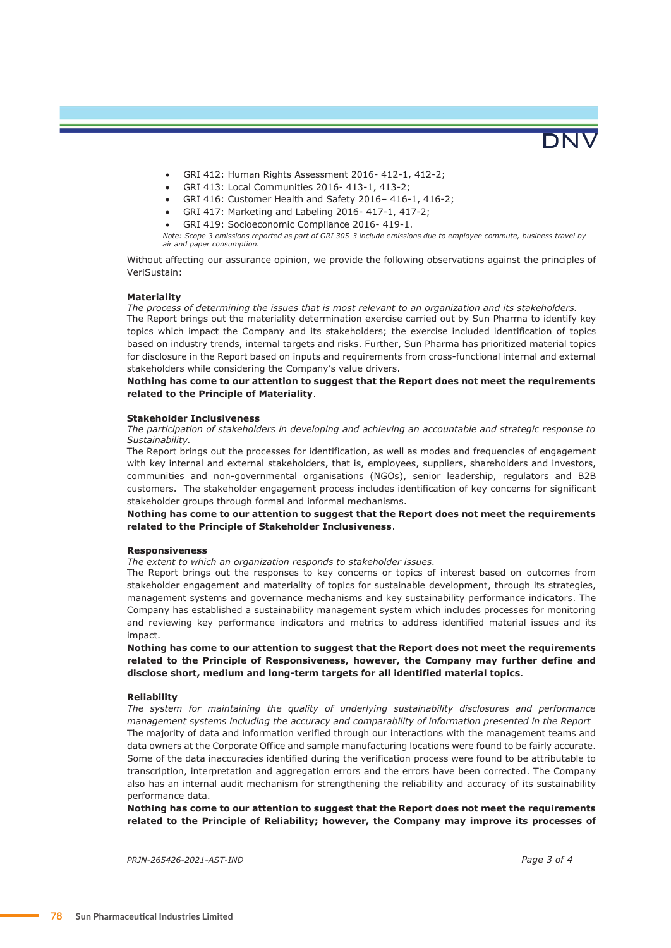

- GRI 412: Human Rights Assessment 2016- 412-1, 412-2;
- GRI 413: Local Communities 2016- 413-1, 413-2;
- GRI 416: Customer Health and Safety 2016– 416-1, 416-2;
- GRI 417: Marketing and Labeling 2016- 417-1, 417-2;
- GRI 419: Socioeconomic Compliance 2016- 419-1.

*Note: Scope 3 emissions reported as part of GRI 305-3 include emissions due to employee commute, business travel by air and paper consumption.*

Without affecting our assurance opinion, we provide the following observations against the principles of VeriSustain:

## **Materiality**

*The process of determining the issues that is most relevant to an organization and its stakeholders.*

The Report brings out the materiality determination exercise carried out by Sun Pharma to identify key topics which impact the Company and its stakeholders; the exercise included identification of topics based on industry trends, internal targets and risks. Further, Sun Pharma has prioritized material topics for disclosure in the Report based on inputs and requirements from cross-functional internal and external stakeholders while considering the Company's value drivers.

## **Nothing has come to our attention to suggest that the Report does not meet the requirements related to the Principle of Materiality**.

#### **Stakeholder Inclusiveness**

*The participation of stakeholders in developing and achieving an accountable and strategic response to Sustainability.* 

The Report brings out the processes for identification, as well as modes and frequencies of engagement with key internal and external stakeholders, that is, employees, suppliers, shareholders and investors, communities and non-governmental organisations (NGOs), senior leadership, regulators and B2B customers. The stakeholder engagement process includes identification of key concerns for significant stakeholder groups through formal and informal mechanisms.

## **Nothing has come to our attention to suggest that the Report does not meet the requirements related to the Principle of Stakeholder Inclusiveness**.

#### **Responsiveness**

*The extent to which an organization responds to stakeholder issues.* 

The Report brings out the responses to key concerns or topics of interest based on outcomes from stakeholder engagement and materiality of topics for sustainable development, through its strategies, management systems and governance mechanisms and key sustainability performance indicators. The Company has established a sustainability management system which includes processes for monitoring and reviewing key performance indicators and metrics to address identified material issues and its impact.

**Nothing has come to our attention to suggest that the Report does not meet the requirements related to the Principle of Responsiveness, however, the Company may further define and disclose short, medium and long-term targets for all identified material topics**.

### **Reliability**

*The system for maintaining the quality of underlying sustainability disclosures and performance management systems including the accuracy and comparability of information presented in the Report*  The majority of data and information verified through our interactions with the management teams and data owners at the Corporate Office and sample manufacturing locations were found to be fairly accurate. Some of the data inaccuracies identified during the verification process were found to be attributable to transcription, interpretation and aggregation errors and the errors have been corrected. The Company also has an internal audit mechanism for strengthening the reliability and accuracy of its sustainability performance data.

**Nothing has come to our attention to suggest that the Report does not meet the requirements related to the Principle of Reliability; however, the Company may improve its processes of** 

*PRJN-265426-2021-AST-IND Page 3 of 4*